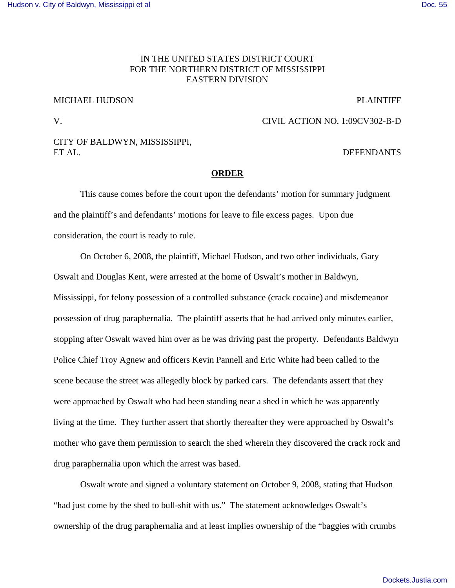### [Hudson v. City of Baldwyn, Mississippi et al](http://dockets.justia.com/docket/mississippi/msndce/1:2009cv00302/29889/) [Doc. 55](http://docs.justia.com/cases/federal/district-courts/mississippi/msndce/1:2009cv00302/29889/55/)

# IN THE UNITED STATES DISTRICT COURT FOR THE NORTHERN DISTRICT OF MISSISSIPPI EASTERN DIVISION

## MICHAEL HUDSON PLAINTIFF

V. CIVIL ACTION NO. 1:09CV302-B-D

## CITY OF BALDWYN, MISSISSIPPI, ET AL. DEFENDANTS

### **ORDER**

This cause comes before the court upon the defendants' motion for summary judgment and the plaintiff's and defendants' motions for leave to file excess pages. Upon due consideration, the court is ready to rule.

On October 6, 2008, the plaintiff, Michael Hudson, and two other individuals, Gary Oswalt and Douglas Kent, were arrested at the home of Oswalt's mother in Baldwyn, Mississippi, for felony possession of a controlled substance (crack cocaine) and misdemeanor possession of drug paraphernalia. The plaintiff asserts that he had arrived only minutes earlier, stopping after Oswalt waved him over as he was driving past the property. Defendants Baldwyn Police Chief Troy Agnew and officers Kevin Pannell and Eric White had been called to the scene because the street was allegedly block by parked cars. The defendants assert that they were approached by Oswalt who had been standing near a shed in which he was apparently living at the time. They further assert that shortly thereafter they were approached by Oswalt's mother who gave them permission to search the shed wherein they discovered the crack rock and drug paraphernalia upon which the arrest was based.

Oswalt wrote and signed a voluntary statement on October 9, 2008, stating that Hudson "had just come by the shed to bull-shit with us." The statement acknowledges Oswalt's ownership of the drug paraphernalia and at least implies ownership of the "baggies with crumbs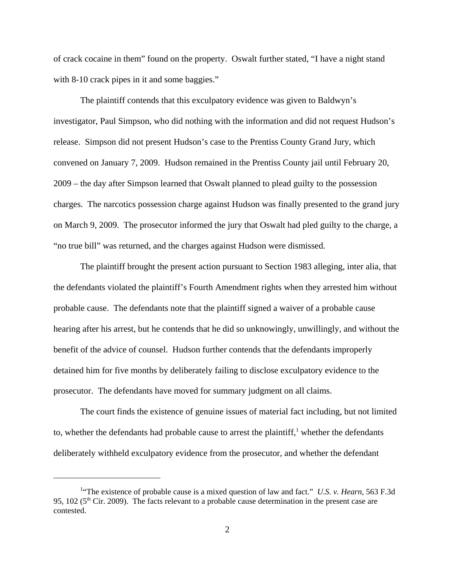of crack cocaine in them" found on the property. Oswalt further stated, "I have a night stand with 8-10 crack pipes in it and some baggies."

The plaintiff contends that this exculpatory evidence was given to Baldwyn's investigator, Paul Simpson, who did nothing with the information and did not request Hudson's release. Simpson did not present Hudson's case to the Prentiss County Grand Jury, which convened on January 7, 2009. Hudson remained in the Prentiss County jail until February 20, 2009 – the day after Simpson learned that Oswalt planned to plead guilty to the possession charges. The narcotics possession charge against Hudson was finally presented to the grand jury on March 9, 2009. The prosecutor informed the jury that Oswalt had pled guilty to the charge, a "no true bill" was returned, and the charges against Hudson were dismissed.

The plaintiff brought the present action pursuant to Section 1983 alleging, inter alia, that the defendants violated the plaintiff's Fourth Amendment rights when they arrested him without probable cause. The defendants note that the plaintiff signed a waiver of a probable cause hearing after his arrest, but he contends that he did so unknowingly, unwillingly, and without the benefit of the advice of counsel. Hudson further contends that the defendants improperly detained him for five months by deliberately failing to disclose exculpatory evidence to the prosecutor. The defendants have moved for summary judgment on all claims.

The court finds the existence of genuine issues of material fact including, but not limited to, whether the defendants had probable cause to arrest the plaintiff,<sup>1</sup> whether the defendants deliberately withheld exculpatory evidence from the prosecutor, and whether the defendant

<sup>&</sup>lt;sup>1</sup>The existence of probable cause is a mixed question of law and fact." *U.S. v. Hearn*, 563 F.3d 95, 102 (5<sup>th</sup> Cir. 2009). The facts relevant to a probable cause determination in the present case are contested.